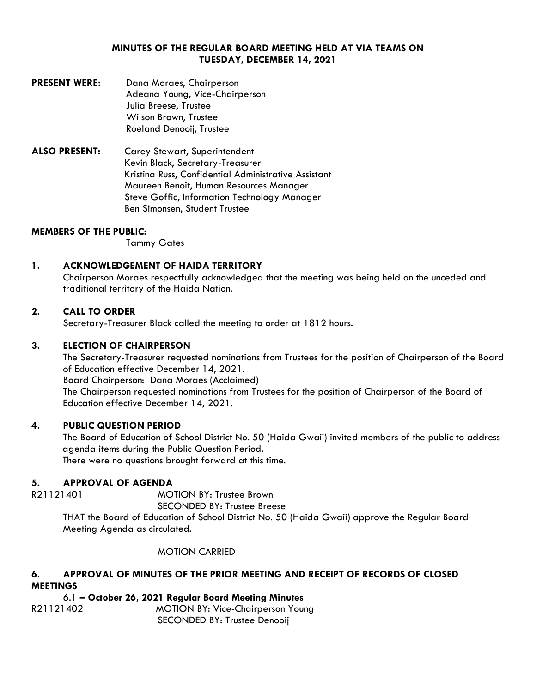### **MINUTES OF THE REGULAR BOARD MEETING HELD AT VIA TEAMS ON TUESDAY, DECEMBER 14, 2021**

- **PRESENT WERE:** Dana Moraes, Chairperson Adeana Young, Vice-Chairperson Julia Breese, Trustee Wilson Brown, Trustee Roeland Denooij, Trustee
- **ALSO PRESENT:** Carey Stewart, Superintendent Kevin Black, Secretary-Treasurer Kristina Russ, Confidential Administrative Assistant Maureen Benoit, Human Resources Manager Steve Goffic, Information Technology Manager Ben Simonsen, Student Trustee

### **MEMBERS OF THE PUBLIC:**

Tammy Gates

## **1. ACKNOWLEDGEMENT OF HAIDA TERRITORY**

Chairperson Moraes respectfully acknowledged that the meeting was being held on the unceded and traditional territory of the Haida Nation.

## **2. CALL TO ORDER**

Secretary-Treasurer Black called the meeting to order at 1812 hours.

### **3. ELECTION OF CHAIRPERSON**

The Secretary-Treasurer requested nominations from Trustees for the position of Chairperson of the Board of Education effective December 14, 2021. Board Chairperson: Dana Moraes (Acclaimed) The Chairperson requested nominations from Trustees for the position of Chairperson of the Board of

Education effective December 14, 2021.

## **4. PUBLIC QUESTION PERIOD**

The Board of Education of School District No. 50 (Haida Gwaii) invited members of the public to address agenda items during the Public Question Period. There were no questions brought forward at this time.

### **5. APPROVAL OF AGENDA**

R21121401 MOTION BY: Trustee Brown

SECONDED BY: Trustee Breese

THAT the Board of Education of School District No. 50 (Haida Gwaii) approve the Regular Board Meeting Agenda as circulated.

MOTION CARRIED

# **6. APPROVAL OF MINUTES OF THE PRIOR MEETING AND RECEIPT OF RECORDS OF CLOSED MEETINGS**

6.1 **– October 26, 2021 Regular Board Meeting Minutes** R21121402MOTION BY: Vice-Chairperson Young SECONDED BY: Trustee Denooij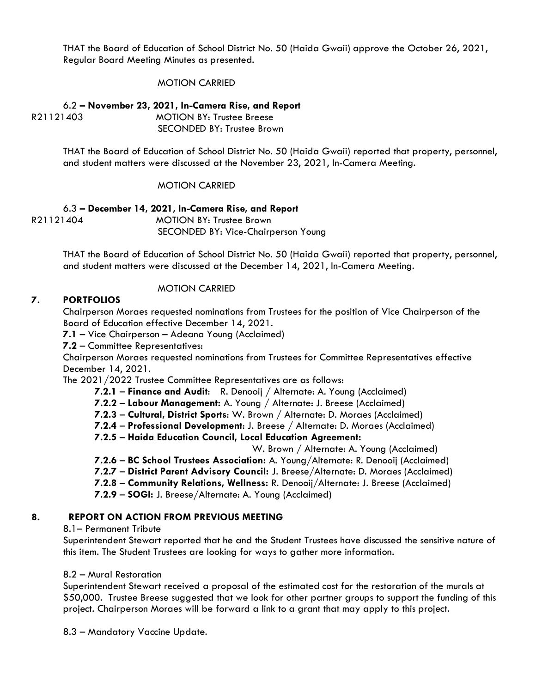THAT the Board of Education of School District No. 50 (Haida Gwaii) approve the October 26, 2021, Regular Board Meeting Minutes as presented.

### MOTION CARRIED

6.2 **– November 23, 2021, In-Camera Rise, and Report** R21121403MOTION BY: Trustee Breese SECONDED BY: Trustee Brown

> THAT the Board of Education of School District No. 50 (Haida Gwaii) reported that property, personnel, and student matters were discussed at the November 23, 2021, In-Camera Meeting.

### MOTION CARRIED

6.3 **– December 14, 2021, In-Camera Rise, and Report** R21121404MOTION BY: Trustee Brown SECONDED BY: Vice-Chairperson Young

> THAT the Board of Education of School District No. 50 (Haida Gwaii) reported that property, personnel, and student matters were discussed at the December 14, 2021, In-Camera Meeting.

## MOTION CARRIED

### **7. PORTFOLIOS**

Chairperson Moraes requested nominations from Trustees for the position of Vice Chairperson of the Board of Education effective December 14, 2021.

**7.1** – Vice Chairperson – Adeana Young (Acclaimed)

**7.2** – Committee Representatives:

Chairperson Moraes requested nominations from Trustees for Committee Representatives effective December 14, 2021.

The 2021/2022 Trustee Committee Representatives are as follows:

- **7.2.1 Finance and Audit**: R. Denooij / Alternate: A. Young (Acclaimed)
- **7.2.2 Labour Management:** A. Young / Alternate: J. Breese (Acclaimed)
- **7.2.3 Cultural, District Sports**: W. Brown / Alternate: D. Moraes (Acclaimed)
- **7.2.4 Professional Development**: J. Breese / Alternate: D. Moraes (Acclaimed)

**7.2.5** – **Haida Education Council, Local Education Agreement:**

W. Brown / Alternate: A. Young (Acclaimed)

- **7.2.6 BC School Trustees Association:** A. Young/Alternate: R. Denooij (Acclaimed)
- **7.2.7 District Parent Advisory Council:** J. Breese/Alternate: D. Moraes (Acclaimed)
- **7.2.8 Community Relations, Wellness:** R. Denooij/Alternate: J. Breese (Acclaimed)

**7.2.9** – **SOGI:** J. Breese/Alternate: A. Young (Acclaimed)

### **8. REPORT ON ACTION FROM PREVIOUS MEETING**

### 8.1– Permanent Tribute

Superintendent Stewart reported that he and the Student Trustees have discussed the sensitive nature of this item. The Student Trustees are looking for ways to gather more information.

### 8.2 – Mural Restoration

Superintendent Stewart received a proposal of the estimated cost for the restoration of the murals at \$50,000. Trustee Breese suggested that we look for other partner groups to support the funding of this project. Chairperson Moraes will be forward a link to a grant that may apply to this project.

8.3 – Mandatory Vaccine Update.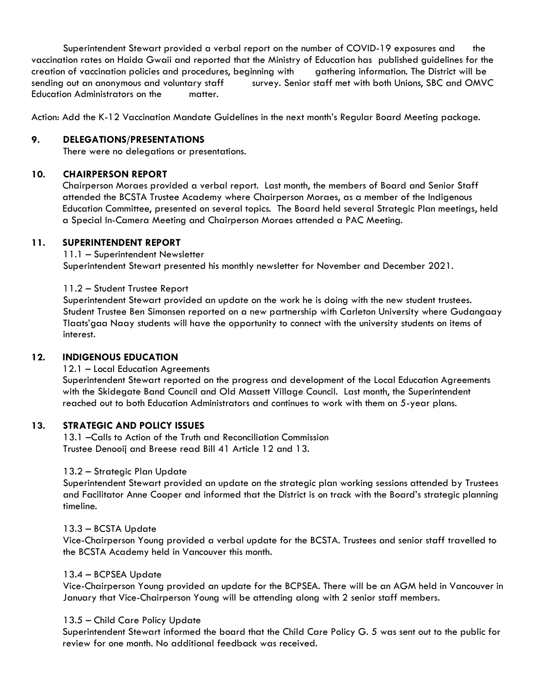Superintendent Stewart provided a verbal report on the number of COVID-19 exposures and the vaccination rates on Haida Gwaii and reported that the Ministry of Education has published guidelines for the creation of vaccination policies and procedures, beginning with gathering information. The District will be sending out an anonymous and voluntary staff survey. Senior staff met with both Unions, SBC and OMVC Education Administrators on the matter.

Action: Add the K-12 Vaccination Mandate Guidelines in the next month's Regular Board Meeting package.

## **9. DELEGATIONS/PRESENTATIONS**

There were no delegations or presentations.

## **10. CHAIRPERSON REPORT**

Chairperson Moraes provided a verbal report. Last month, the members of Board and Senior Staff attended the BCSTA Trustee Academy where Chairperson Moraes, as a member of the Indigenous Education Committee, presented on several topics. The Board held several Strategic Plan meetings, held a Special In-Camera Meeting and Chairperson Moraes attended a PAC Meeting.

## **11. SUPERINTENDENT REPORT**

11.1 – Superintendent Newsletter Superintendent Stewart presented his monthly newsletter for November and December 2021.

## 11.2 – Student Trustee Report

Superintendent Stewart provided an update on the work he is doing with the new student trustees. Student Trustee Ben Simonsen reported on a new partnership with Carleton University where Gudangaay Tlaats'gaa Naay students will have the opportunity to connect with the university students on items of interest.

# **12. INDIGENOUS EDUCATION**

12.1 – Local Education Agreements

Superintendent Stewart reported on the progress and development of the Local Education Agreements with the Skidegate Band Council and Old Massett Village Council. Last month, the Superintendent reached out to both Education Administrators and continues to work with them on 5-year plans.

### **13. STRATEGIC AND POLICY ISSUES**

13.1 –Calls to Action of the Truth and Reconciliation Commission Trustee Denooij and Breese read Bill 41 Article 12 and 13.

### 13.2 – Strategic Plan Update

Superintendent Stewart provided an update on the strategic plan working sessions attended by Trustees and Facilitator Anne Cooper and informed that the District is on track with the Board's strategic planning timeline.

### 13.3 – BCSTA Update

Vice-Chairperson Young provided a verbal update for the BCSTA. Trustees and senior staff travelled to the BCSTA Academy held in Vancouver this month.

### 13.4 – BCPSEA Update

Vice-Chairperson Young provided an update for the BCPSEA. There will be an AGM held in Vancouver in January that Vice-Chairperson Young will be attending along with 2 senior staff members.

### 13.5 – Child Care Policy Update

Superintendent Stewart informed the board that the Child Care Policy G. 5 was sent out to the public for review for one month. No additional feedback was received.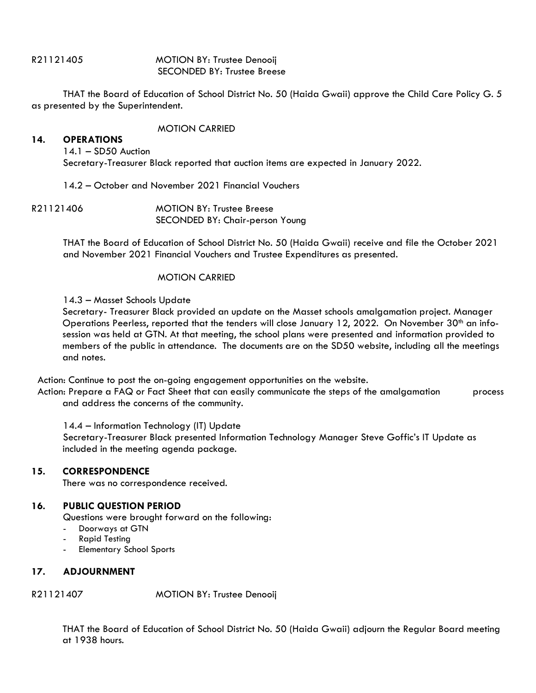R21121405 MOTION BY: Trustee Denooij SECONDED BY: Trustee Breese

THAT the Board of Education of School District No. 50 (Haida Gwaii) approve the Child Care Policy G. 5 as presented by the Superintendent.

#### MOTION CARRIED

#### **14. OPERATIONS**

14.1 – SD50 Auction Secretary-Treasurer Black reported that auction items are expected in January 2022.

14.2 – October and November 2021 Financial Vouchers

R21121406 MOTION BY: Trustee Breese SECONDED BY: Chair-person Young

> THAT the Board of Education of School District No. 50 (Haida Gwaii) receive and file the October 2021 and November 2021 Financial Vouchers and Trustee Expenditures as presented.

### MOTION CARRIED

### 14.3 – Masset Schools Update

Secretary- Treasurer Black provided an update on the Masset schools amalgamation project. Manager Operations Peerless, reported that the tenders will close January 12, 2022. On November  $30<sup>th</sup>$  an infosession was held at GTN. At that meeting, the school plans were presented and information provided to members of the public in attendance. The documents are on the SD50 website, including all the meetings and notes.

Action: Continue to post the on-going engagement opportunities on the website.

Action: Prepare a FAQ or Fact Sheet that can easily communicate the steps of the amalgamation process and address the concerns of the community.

14.4 – Information Technology (IT) Update

Secretary-Treasurer Black presented Information Technology Manager Steve Goffic's IT Update as included in the meeting agenda package.

## **15. CORRESPONDENCE**

There was no correspondence received.

### **16. PUBLIC QUESTION PERIOD**

Questions were brought forward on the following:

- Doorways at GTN
- **Rapid Testing**
- Elementary School Sports

### **17. ADJOURNMENT**

### R21121407 MOTION BY: Trustee Denooij

THAT the Board of Education of School District No. 50 (Haida Gwaii) adjourn the Regular Board meeting at 1938 hours.